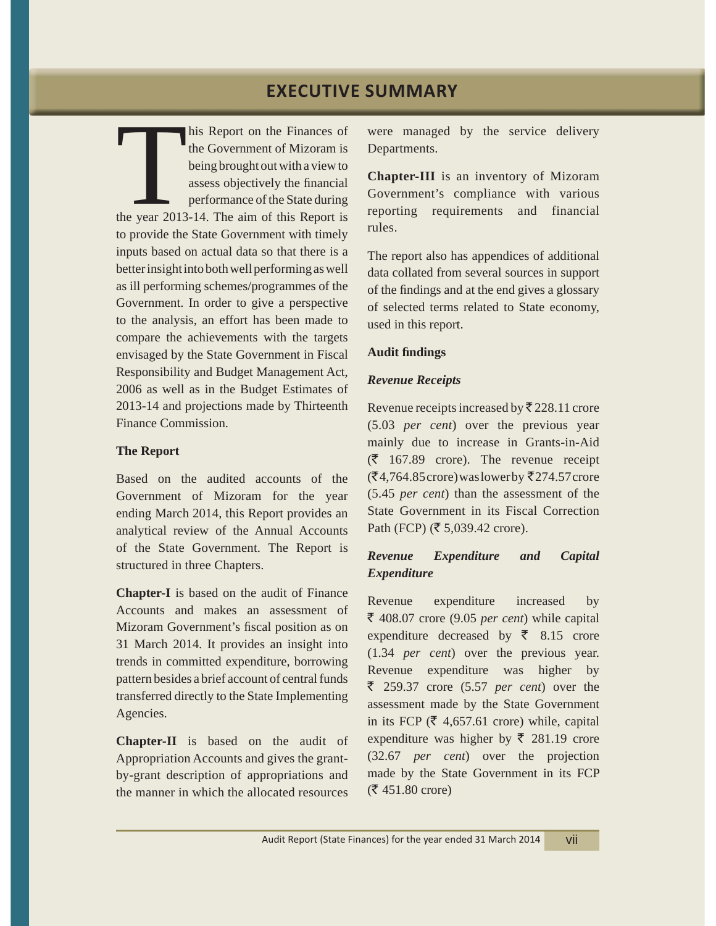This Report on the Finances of<br>
the Government of Mizoram is<br>
being brought out with a view to<br>
assess objectively the financial<br>
performance of the State during<br>
the year 2013-14. The aim of this Report is the Government of Mizoram is being brought out with a view to assess objectively the financial performance of the State during to provide the State Government with timely inputs based on actual data so that there is a better insight into both well performing as well as ill performing schemes/programmes of the Government. In order to give a perspective to the analysis, an effort has been made to compare the achievements with the targets envisaged by the State Government in Fiscal Responsibility and Budget Management Act, 2006 as well as in the Budget Estimates of 2013-14 and projections made by Thirteenth Finance Commission.

## **The Report**

Based on the audited accounts of the Government of Mizoram for the year ending March 2014, this Report provides an analytical review of the Annual Accounts of the State Government. The Report is structured in three Chapters.

**Chapter-I** is based on the audit of Finance Accounts and makes an assessment of Mizoram Government's fiscal position as on 31 March 2014. It provides an insight into trends in committed expenditure, borrowing pattern besides a brief account of central funds transferred directly to the State Implementing Agencies.

**Chapter-II** is based on the audit of Appropriation Accounts and gives the grantby-grant description of appropriations and the manner in which the allocated resources were managed by the service delivery Departments.

**Chapter-III** is an inventory of Mizoram Government's compliance with various reporting requirements and financial rules.

The report also has appendices of additional data collated from several sources in support of the findings and at the end gives a glossary of selected terms related to State economy, used in this report.

## **Audit findings**

# *Revenue Receipts*

Revenue receipts increased by  $\bar{\mathcal{R}}$  228.11 crore (5.03 *per cent*) over the previous year mainly due to increase in Grants-in-Aid  $(\bar{\zeta}$  167.89 crore). The revenue receipt  $($ ₹4,764.85 crore) was lower by ₹274.57 crore (5.45 *per cent*) than the assessment of the State Government in its Fiscal Correction Path (FCP) ( $\bar{\xi}$  5,039.42 crore).

# *Revenue Expenditure and Capital Expenditure*

Revenue expenditure increased by  $\bar{\xi}$  408.07 crore (9.05 *per cent*) while capital expenditure decreased by  $\bar{\xi}$  8.15 crore (1.34 *per cent*) over the previous year. Revenue expenditure was higher by ` 259.37 crore (5.57 *per cent*) over the assessment made by the State Government in its FCP ( $\bar{\tau}$  4,657.61 crore) while, capital expenditure was higher by  $\bar{\xi}$  281.19 crore (32.67 *per cent*) over the projection made by the State Government in its FCP  $($ ₹ 451.80 crore)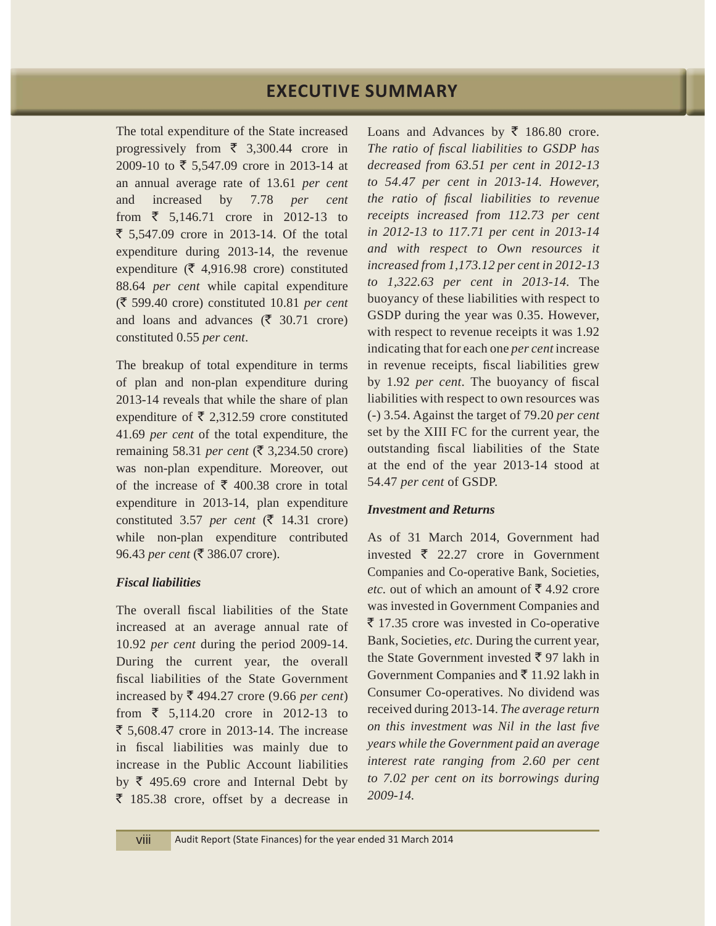The total expenditure of the State increased progressively from  $\overline{\xi}$  3,300.44 crore in 2009-10 to ₹ 5,547.09 crore in 2013-14 at an annual average rate of 13.61 *per cent* and increased by 7.78 *per cent* from  $\bar{\xi}$  5,146.71 crore in 2012-13 to  $\bar{5}$ , 5,547.09 crore in 2013-14. Of the total expenditure during 2013-14, the revenue expenditure ( $\bar{\xi}$  4,916.98 crore) constituted 88.64 *per cent* while capital expenditure (` 599.40 crore) constituted 10.81 *per cent* and loans and advances ( $\bar{\tau}$  30.71 crore) constituted 0.55 *per cent*.

The breakup of total expenditure in terms of plan and non-plan expenditure during 2013-14 reveals that while the share of plan expenditure of  $\bar{\xi}$  2,312.59 crore constituted 41.69 *per cent* of the total expenditure, the remaining 58.31 *per cent* ( $\overline{\xi}$  3,234.50 crore) was non-plan expenditure. Moreover, out of the increase of  $\bar{\xi}$  400.38 crore in total expenditure in 2013-14, plan expenditure constituted 3.57 *per cent* ( $\bar{\zeta}$  14.31 crore) while non-plan expenditure contributed 96.43 *per cent* (₹ 386.07 crore).

## *Fiscal liabilities*

The overall fiscal liabilities of the State increased at an average annual rate of 10.92 *per cent* during the period 2009-14. During the current year, the overall fiscal liabilities of the State Government increased by  $\bar{\tau}$  494.27 crore (9.66 *per cent*) from  $\bar{\xi}$  5,114.20 crore in 2012-13 to  $\bar{5}$ , 5,608.47 crore in 2013-14. The increase in fiscal liabilities was mainly due to increase in the Public Account liabilities by  $\bar{\tau}$  495.69 crore and Internal Debt by  $\bar{z}$  185.38 crore, offset by a decrease in

Loans and Advances by  $\bar{\tau}$  186.80 crore. *The ratio of fiscal liabilities to GSDP has decreased from 63.51 per cent in 2012-13 to 54.47 per cent in 2013-14. However, the ratio of fiscal liabilities to revenue receipts increased from 112.73 per cent in 2012-13 to 117.71 per cent in 2013-14 and with respect to Own resources it increased from 1,173.12 per cent in 2012-13 to 1,322.63 per cent in 2013-14.* The buoyancy of these liabilities with respect to GSDP during the year was 0.35. However, with respect to revenue receipts it was 1.92 indicating that for each one *per cent* increase in revenue receipts, fiscal liabilities grew by 1.92 *per cent*. The buoyancy of fiscal liabilities with respect to own resources was (-) 3.54. Against the target of 79.20 *per cent*  set by the XIII FC for the current year, the outstanding fiscal liabilities of the State at the end of the year 2013-14 stood at 54.47 *per cent* of GSDP.

#### *Investment and Returns*

As of 31 March 2014, Government had invested  $\bar{\tau}$  22.27 crore in Government Companies and Co-operative Bank, Societies, *etc.* out of which an amount of  $\bar{\mathcal{F}}$  4.92 crore was invested in Government Companies and  $\bar{\xi}$  17.35 crore was invested in Co-operative Bank, Societies, *etc.* During the current year, the State Government invested  $\bar{\tau}$  97 lakh in Government Companies and  $\bar{z}$  11.92 lakh in Consumer Co-operatives. No dividend was received during 2013-14. *The average return on this investment was Nil in the last five years while the Government paid an average interest rate ranging from 2.60 per cent to 7.02 per cent on its borrowings during 2009-14.*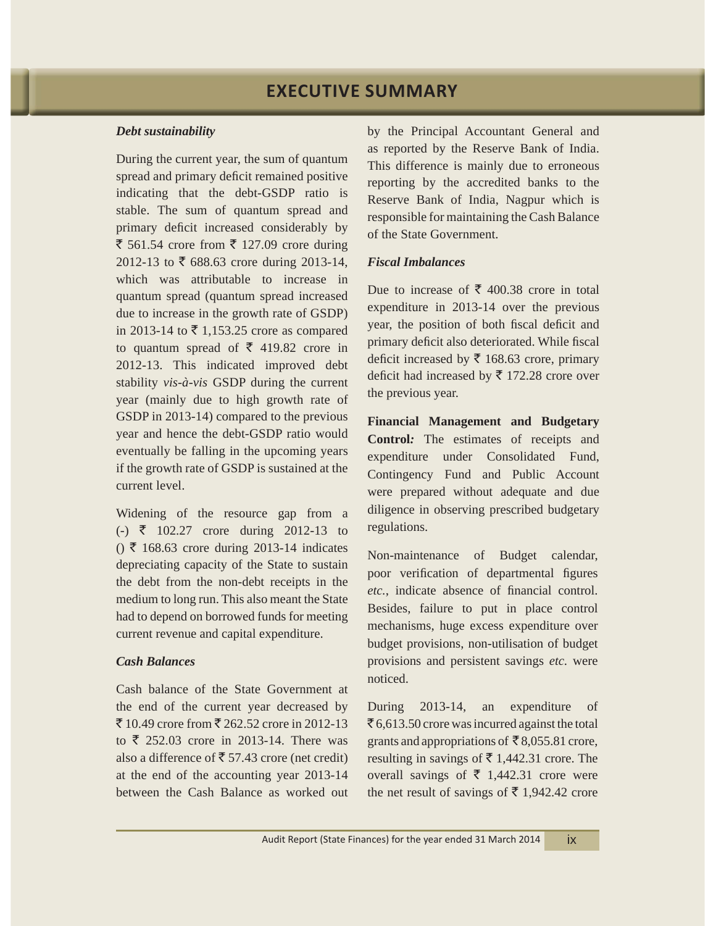#### *Debt sustainability*

During the current year, the sum of quantum spread and primary deficit remained positive indicating that the debt-GSDP ratio is stable. The sum of quantum spread and primary deficit increased considerably by  $\bar{\xi}$  561.54 crore from  $\bar{\xi}$  127.09 crore during 2012-13 to  $\bar{\xi}$  688.63 crore during 2013-14, which was attributable to increase in quantum spread (quantum spread increased due to increase in the growth rate of GSDP) in 2013-14 to  $\bar{\tau}$  1,153.25 crore as compared to quantum spread of  $\bar{\tau}$  419.82 crore in 2012-13. This indicated improved debt stability *vis-à-vis* GSDP during the current year (mainly due to high growth rate of GSDP in 2013-14) compared to the previous year and hence the debt-GSDP ratio would eventually be falling in the upcoming years if the growth rate of GSDP is sustained at the current level.

Widening of the resource gap from a  $(-) \le 102.27$  crore during 2012-13 to  $() \space \bar{\tau}$  168.63 crore during 2013-14 indicates depreciating capacity of the State to sustain the debt from the non-debt receipts in the medium to long run. This also meant the State had to depend on borrowed funds for meeting current revenue and capital expenditure.

## *Cash Balances*

Cash balance of the State Government at the end of the current year decreased by  $\bar{5}$  10.49 crore from  $\bar{5}$  262.52 crore in 2012-13 to  $\overline{\xi}$  252.03 crore in 2013-14. There was also a difference of  $\bar{\bar{\tau}}$  57.43 crore (net credit) at the end of the accounting year 2013-14 between the Cash Balance as worked out by the Principal Accountant General and as reported by the Reserve Bank of India. This difference is mainly due to erroneous reporting by the accredited banks to the Reserve Bank of India, Nagpur which is responsible for maintaining the Cash Balance of the State Government.

## *Fiscal Imbalances*

Due to increase of ₹ 400.38 crore in total expenditure in 2013-14 over the previous year, the position of both fiscal deficit and primary deficit also deteriorated. While fiscal deficit increased by  $\bar{\tau}$  168.63 crore, primary deficit had increased by  $\bar{\tau}$  172.28 crore over the previous year.

**Financial Management and Budgetary Control***:* The estimates of receipts and expenditure under Consolidated Fund, Contingency Fund and Public Account were prepared without adequate and due diligence in observing prescribed budgetary regulations.

Non-maintenance of Budget calendar, poor verification of departmental figures *etc.*, indicate absence of financial control. Besides, failure to put in place control mechanisms, huge excess expenditure over budget provisions, non-utilisation of budget provisions and persistent savings *etc.* were noticed.

During 2013-14, an expenditure of  $\overline{\xi}$  6,613.50 crore was incurred against the total grants and appropriations of  $\bar{\bar{\xi}}$  8,055.81 crore, resulting in savings of  $\bar{\tau}$  1,442.31 crore. The overall savings of  $\bar{\tau}$  1,442.31 crore were the net result of savings of  $\bar{\tau}$  1,942.42 crore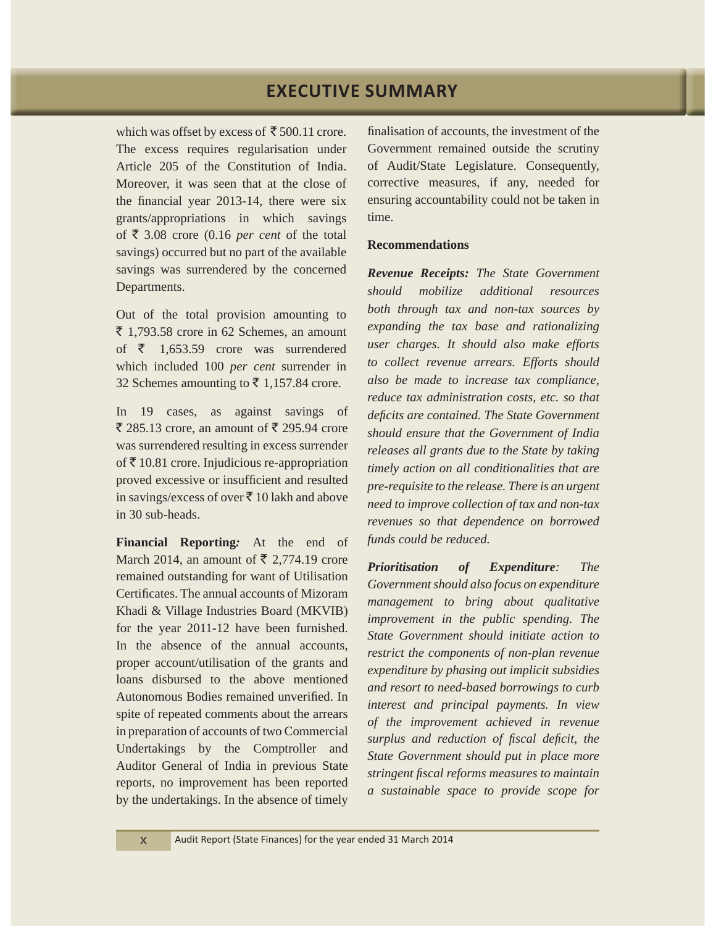which was offset by excess of  $\bar{\bar{\xi}}$  500.11 crore. The excess requires regularisation under Article 205 of the Constitution of India. Moreover, it was seen that at the close of the financial year 2013-14, there were six grants/appropriations in which savings of  $\bar{\tau}$  3.08 crore (0.16 *per cent* of the total savings) occurred but no part of the available savings was surrendered by the concerned Departments.

Out of the total provision amounting to  $\bar{z}$  1,793.58 crore in 62 Schemes, an amount of  $\bar{\zeta}$  1,653.59 crore was surrendered which included 100 *per cent* surrender in 32 Schemes amounting to  $\bar{\mathfrak{c}}$  1,157.84 crore.

In 19 cases, as against savings of  $\bar{\xi}$  285.13 crore, an amount of  $\bar{\xi}$  295.94 crore was surrendered resulting in excess surrender of  $\bar{\mathfrak{F}}$  10.81 crore. Injudicious re-appropriation proved excessive or insufficient and resulted in savings/excess of over  $\bar{z}$  10 lakh and above in 30 sub-heads.

**Financial Reporting***:* At the end of March 2014, an amount of  $\bar{\tau}$  2,774.19 crore remained outstanding for want of Utilisation Certificates. The annual accounts of Mizoram Khadi & Village Industries Board (MKVIB) for the year 2011-12 have been furnished. In the absence of the annual accounts, proper account/utilisation of the grants and loans disbursed to the above mentioned Autonomous Bodies remained unverified. In spite of repeated comments about the arrears in preparation of accounts of two Commercial Undertakings by the Comptroller and Auditor General of India in previous State reports, no improvement has been reported by the undertakings. In the absence of timely finalisation of accounts, the investment of the Government remained outside the scrutiny of Audit/State Legislature. Consequently, corrective measures, if any, needed for ensuring accountability could not be taken in time.

## **Recommendations**

*Revenue Receipts: The State Government should mobilize additional resources both through tax and non-tax sources by expanding the tax base and rationalizing user charges. It should also make efforts to collect revenue arrears. Efforts should also be made to increase tax compliance, reduce tax administration costs, etc. so that deficits are contained. The State Government should ensure that the Government of India releases all grants due to the State by taking timely action on all conditionalities that are pre-requisite to the release. There is an urgent need to improve collection of tax and non-tax revenues so that dependence on borrowed funds could be reduced.*

*Prioritisation of Expenditure: The Government should also focus on expenditure management to bring about qualitative improvement in the public spending. The State Government should initiate action to restrict the components of non-plan revenue expenditure by phasing out implicit subsidies and resort to need-based borrowings to curb interest and principal payments. In view of the improvement achieved in revenue surplus and reduction of fiscal deficit, the State Government should put in place more stringent fiscal reforms measures to maintain a sustainable space to provide scope for*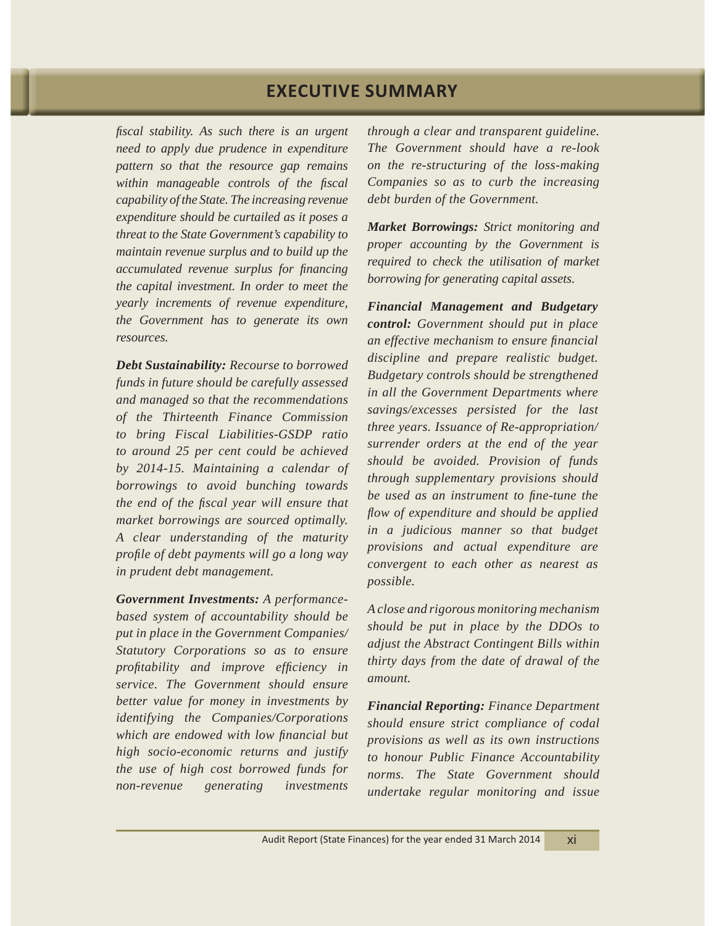*fiscal stability. As such there is an urgent need to apply due prudence in expenditure pattern so that the resource gap remains within manageable controls of the fiscal capability of the State. The increasing revenue expenditure should be curtailed as it poses a threat to the State Government's capability to maintain revenue surplus and to build up the accumulated revenue surplus for financing the capital investment. In order to meet the yearly increments of revenue expenditure, the Government has to generate its own resources.*

*Debt Sustainability: Recourse to borrowed funds in future should be carefully assessed and managed so that the recommendations of the Thirteenth Finance Commission to bring Fiscal Liabilities-GSDP ratio to around 25 per cent could be achieved by 2014-15. Maintaining a calendar of borrowings to avoid bunching towards the end of the fiscal year will ensure that market borrowings are sourced optimally. A clear understanding of the maturity profile of debt payments will go a long way in prudent debt management.* 

*Government Investments: A performancebased system of accountability should be put in place in the Government Companies/ Statutory Corporations so as to ensure profitability and improve efficiency in service. The Government should ensure better value for money in investments by identifying the Companies/Corporations which are endowed with low financial but high socio-economic returns and justify the use of high cost borrowed funds for non-revenue generating investments* 

*through a clear and transparent guideline. The Government should have a re-look on the re-structuring of the loss-making Companies so as to curb the increasing debt burden of the Government.*

*Market Borrowings: Strict monitoring and proper accounting by the Government is required to check the utilisation of market borrowing for generating capital assets.*

*Financial Management and Budgetary control: Government should put in place an effective mechanism to ensure financial discipline and prepare realistic budget. Budgetary controls should be strengthened in all the Government Departments where savings/excesses persisted for the last three years. Issuance of Re-appropriation/ surrender orders at the end of the year should be avoided. Provision of funds through supplementary provisions should be used as an instrument to fine-tune the flow of expenditure and should be applied in a judicious manner so that budget provisions and actual expenditure are convergent to each other as nearest as possible.*

*A close and rigorous monitoring mechanism should be put in place by the DDOs to adjust the Abstract Contingent Bills within thirty days from the date of drawal of the amount.*

*Financial Reporting: Finance Department should ensure strict compliance of codal provisions as well as its own instructions to honour Public Finance Accountability norms. The State Government should undertake regular monitoring and issue*